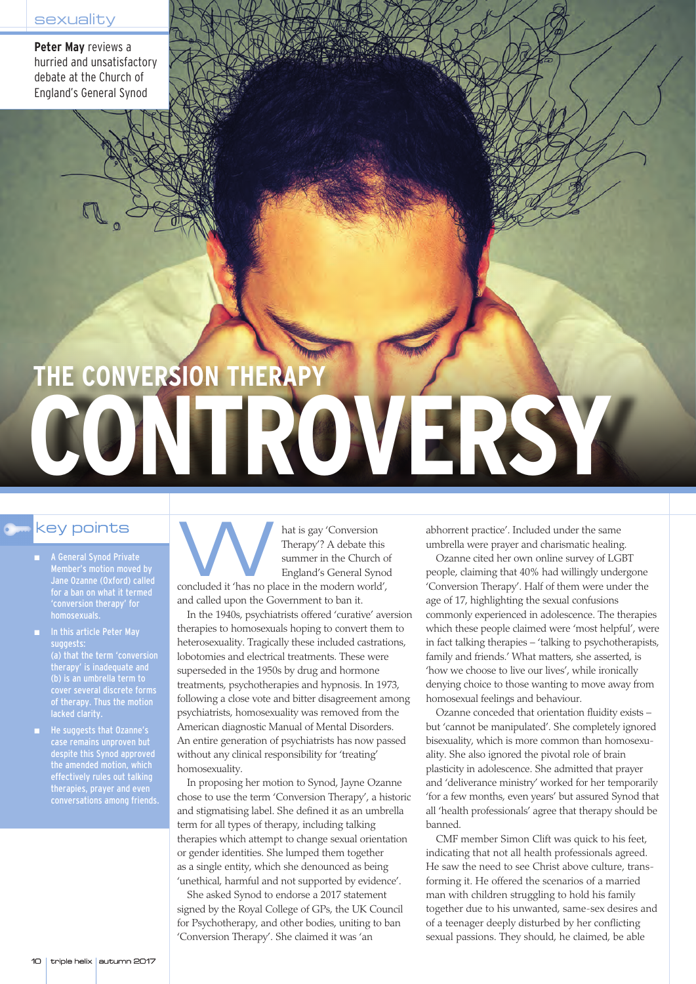**Peter May** reviews a hurried and unsatisfactory debate at the Church of England's General Synod

## **THE CONVERSION THERAPY CONTROVERSY**

- A General Synod Private Member's motion moved by for a ban on what it termed 'conversion therapy' for homosexuals.
- suggests: (a) that the term 'conversion therapy' is inadequate and (b) is an umbrella term to cover several discrete forms of therapy. Thus the motion lacked clarity.
- He suggests that Ozanne's case remains unproven but despite this Synod approved the amended motion, which effectively rules out talking therapies, prayer and even conversations among friends.

Rey points<br>
A General Synod Private<br>
Member's motion moved by<br>
Jane Ozanne (Oxford) called<br>
A General Synod Private<br>
Member's motion moved by<br>
Jane Ozanne (Oxford) called Therapy'? A debate this summer in the Church of England's General Synod concluded it 'has no place in the modern world', and called upon the Government to ban it.

> In the 1940s, psychiatrists offered 'curative' aversion therapies to homosexuals hoping to convert them to heterosexuality. Tragically these included castrations, lobotomies and electrical treatments. These were superseded in the 1950s by drug and hormone treatments, psychotherapies and hypnosis. In 1973, following a close vote and bitter disagreement among psychiatrists, homosexuality was removed from the American diagnostic Manual of Mental Disorders. An entire generation of psychiatrists has now passed without any clinical responsibility for 'treating' homosexuality.

> In proposing her motion to Synod, Jayne Ozanne chose to use the term 'Conversion Therapy', a historic and stigmatising label. She defined it as an umbrella term for all types of therapy, including talking therapies which attempt to change sexual orientation or gender identities. She lumped them together as a single entity, which she denounced as being 'unethical, harmful and not supported by evidence'.

She asked Synod to endorse a 2017 statement signed by the Royal College of GPs, the UK Council for Psychotherapy, and other bodies, uniting to ban 'Conversion Therapy'. She claimed it was 'an

abhorrent practice'. Included under the same umbrella were prayer and charismatic healing.

Ozanne cited her own online survey of LGBT people, claiming that 40% had willingly undergone 'Conversion Therapy'. Half of them were under the age of 17, highlighting the sexual confusions commonly experienced in adolescence. The therapies which these people claimed were 'most helpful', were in fact talking therapies – 'talking to psychotherapists, family and friends.' What matters, she asserted, is 'how we choose to live our lives', while ironically denying choice to those wanting to move away from homosexual feelings and behaviour.

Ozanne conceded that orientation fluidity exists – but 'cannot be manipulated'. She completely ignored bisexuality, which is more common than homosexuality. She also ignored the pivotal role of brain plasticity in adolescence. She admitted that prayer and 'deliverance ministry' worked for her temporarily 'for a few months, even years' but assured Synod that all 'health professionals' agree that therapy should be banned.

CMF member Simon Clift was quick to his feet, indicating that not all health professionals agreed. He saw the need to see Christ above culture, transforming it. He offered the scenarios of a married man with children struggling to hold his family together due to his unwanted, same-sex desires and of a teenager deeply disturbed by her conflicting sexual passions. They should, he claimed, be able